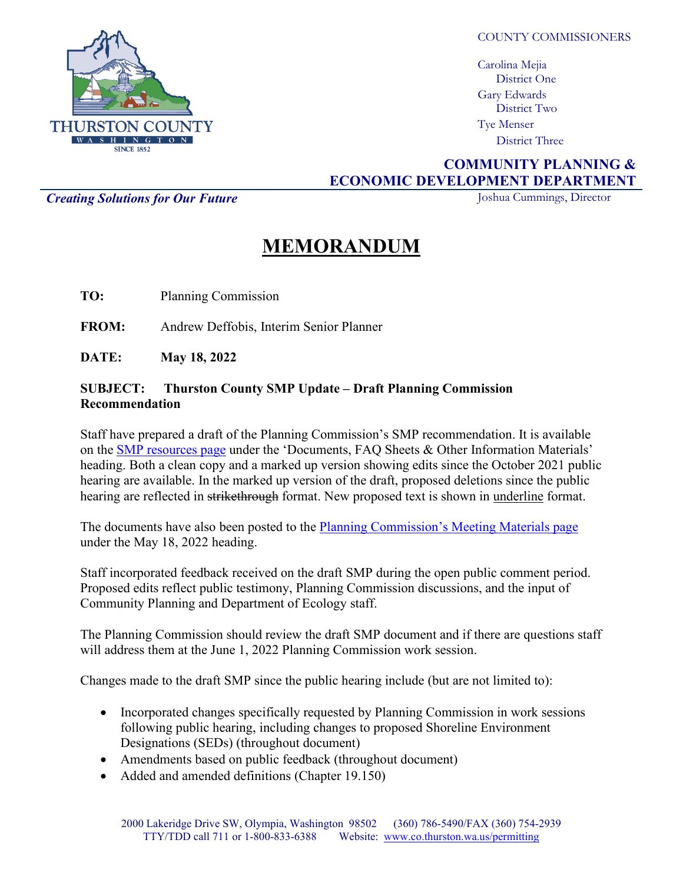

COUNTY COMMISSIONERS

Carolina Mejia District One Gary Edwards District Two Tye Menser District Three

## **COMMUNITY PLANNING & ECONOMIC DEVELOPMENT DEPARTMENT**

**Creating Solutions for Our Future** Joshua Cummings, Director

## **MEMORANDUM**

**TO:** Planning Commission

**FROM:** Andrew Deffobis, Interim Senior Planner

**DATE: May 18, 2022**

## **SUBJECT: Thurston County SMP Update – Draft Planning Commission Recommendation**

Staff have prepared a draft of the Planning Commission's SMP recommendation. It is available on the [SMP resources page](https://www.thurstoncountywa.gov/planning/Pages/shorelines-update-open-house.aspx) under the 'Documents, FAQ Sheets & Other Information Materials' heading. Both a clean copy and a marked up version showing edits since the October 2021 public hearing are available. In the marked up version of the draft, proposed deletions since the public hearing are reflected in strikethrough format. New proposed text is shown in underline format.

The documents have also been posted to the [Planning Commission's Meeting Materials page](https://www.thurstoncountywa.gov/planning/Pages/pc-meetings.aspx) under the May 18, 2022 heading.

Staff incorporated feedback received on the draft SMP during the open public comment period. Proposed edits reflect public testimony, Planning Commission discussions, and the input of Community Planning and Department of Ecology staff.

The Planning Commission should review the draft SMP document and if there are questions staff will address them at the June 1, 2022 Planning Commission work session.

Changes made to the draft SMP since the public hearing include (but are not limited to):

- Incorporated changes specifically requested by Planning Commission in work sessions following public hearing, including changes to proposed Shoreline Environment Designations (SEDs) (throughout document)
- Amendments based on public feedback (throughout document)
- Added and amended definitions (Chapter 19.150)